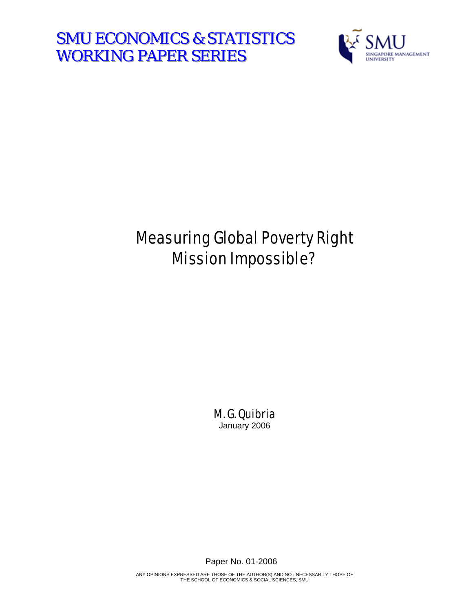**SMU ECONOMICS & STATISTICS** WORKING PAPER SERIES



# Measuring Global Poverty Right Mission Impossible?

M. G. Quibria January 2006

Paper No. 01-2006

ANY OPINIONS EXPRESSED ARE THOSE OF THE AUTHOR(S) AND NOT NECESSARILY THOSE OF THE SCHOOL OF ECONOMICS & SOCIAL SCIENCES, SMU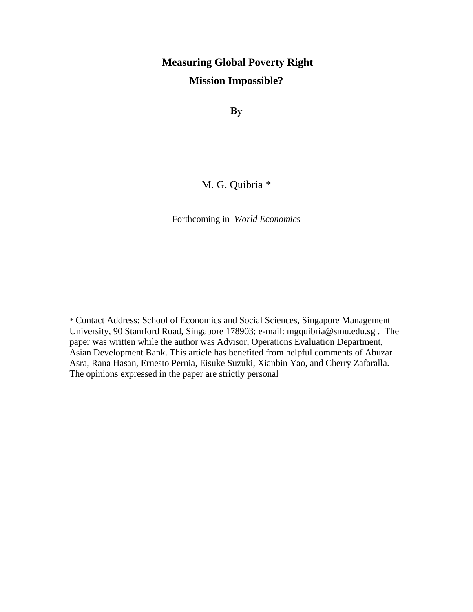## **Measuring Global Poverty Right Mission Impossible?**

**By** 

### M. G. Quibria \*

Forthcoming in *World Economics* 

*\** Contact Address: School of Economics and Social Sciences, Singapore Management University, 90 Stamford Road, Singapore 178903; e-mail: mgquibria@smu.edu.sg . The paper was written while the author was Advisor, Operations Evaluation Department, Asian Development Bank. This article has benefited from helpful comments of Abuzar Asra, Rana Hasan, Ernesto Pernia, Eisuke Suzuki, Xianbin Yao, and Cherry Zafaralla. The opinions expressed in the paper are strictly personal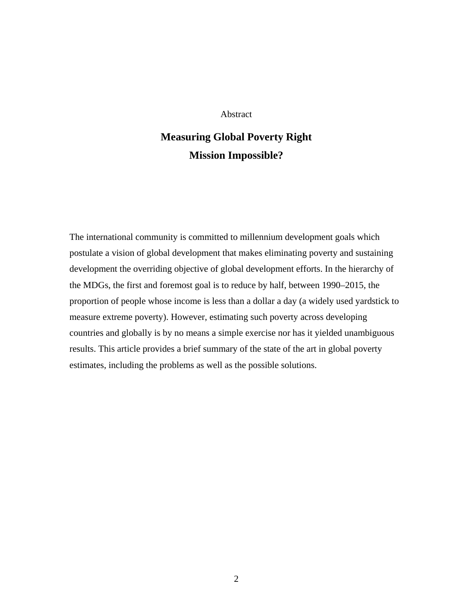#### Abstract

## **Measuring Global Poverty Right Mission Impossible?**

The international community is committed to millennium development goals which postulate a vision of global development that makes eliminating poverty and sustaining development the overriding objective of global development efforts. In the hierarchy of the MDGs, the first and foremost goal is to reduce by half, between 1990–2015, the proportion of people whose income is less than a dollar a day (a widely used yardstick to measure extreme poverty). However, estimating such poverty across developing countries and globally is by no means a simple exercise nor has it yielded unambiguous results. This article provides a brief summary of the state of the art in global poverty estimates, including the problems as well as the possible solutions.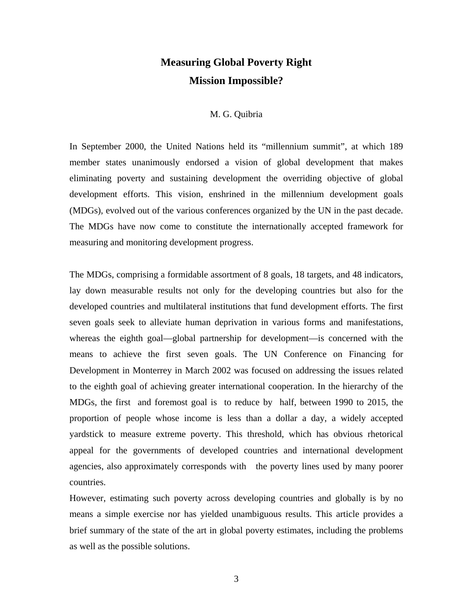### **Measuring Global Poverty Right Mission Impossible?**

#### M. G. Quibria

In September 2000, the United Nations held its "millennium summit", at which 189 member states unanimously endorsed a vision of global development that makes eliminating poverty and sustaining development the overriding objective of global development efforts. This vision, enshrined in the millennium development goals (MDGs), evolved out of the various conferences organized by the UN in the past decade. The MDGs have now come to constitute the internationally accepted framework for measuring and monitoring development progress.

The MDGs, comprising a formidable assortment of 8 goals, 18 targets, and 48 indicators, lay down measurable results not only for the developing countries but also for the developed countries and multilateral institutions that fund development efforts. The first seven goals seek to alleviate human deprivation in various forms and manifestations, whereas the eighth goal—global partnership for development—is concerned with the means to achieve the first seven goals. The UN Conference on Financing for Development in Monterrey in March 2002 was focused on addressing the issues related to the eighth goal of achieving greater international cooperation. In the hierarchy of the MDGs, the first and foremost goal is to reduce by half, between 1990 to 2015, the proportion of people whose income is less than a dollar a day, a widely accepted yardstick to measure extreme poverty. This threshold, which has obvious rhetorical appeal for the governments of developed countries and international development agencies, also approximately corresponds with the poverty lines used by many poorer countries.

However, estimating such poverty across developing countries and globally is by no means a simple exercise nor has yielded unambiguous results. This article provides a brief summary of the state of the art in global poverty estimates, including the problems as well as the possible solutions.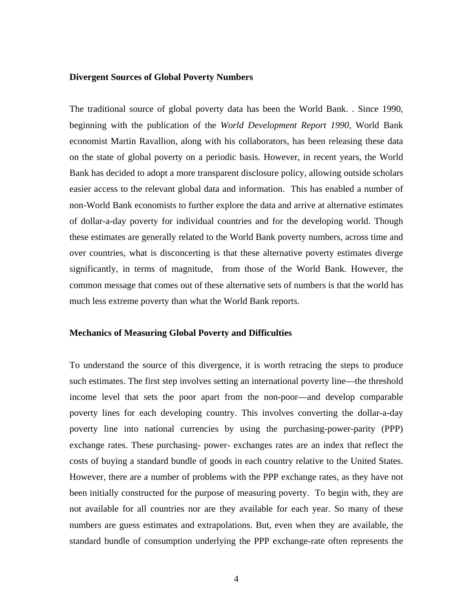#### **Divergent Sources of Global Poverty Numbers**

The traditional source of global poverty data has been the World Bank. . Since 1990, beginning with the publication of the *World Development Report 1990*, World Bank economist Martin Ravallion, along with his collaborators, has been releasing these data on the state of global poverty on a periodic basis. However, in recent years, the World Bank has decided to adopt a more transparent disclosure policy, allowing outside scholars easier access to the relevant global data and information. This has enabled a number of non-World Bank economists to further explore the data and arrive at alternative estimates of dollar-a-day poverty for individual countries and for the developing world. Though these estimates are generally related to the World Bank poverty numbers, across time and over countries, what is disconcerting is that these alternative poverty estimates diverge significantly, in terms of magnitude, from those of the World Bank. However, the common message that comes out of these alternative sets of numbers is that the world has much less extreme poverty than what the World Bank reports.

#### **Mechanics of Measuring Global Poverty and Difficulties**

To understand the source of this divergence, it is worth retracing the steps to produce such estimates. The first step involves setting an international poverty line—the threshold income level that sets the poor apart from the non-poor—and develop comparable poverty lines for each developing country. This involves converting the dollar-a-day poverty line into national currencies by using the purchasing-power-parity (PPP) exchange rates. These purchasing- power- exchanges rates are an index that reflect the costs of buying a standard bundle of goods in each country relative to the United States. However, there are a number of problems with the PPP exchange rates, as they have not been initially constructed for the purpose of measuring poverty. To begin with, they are not available for all countries nor are they available for each year. So many of these numbers are guess estimates and extrapolations. But, even when they are available, the standard bundle of consumption underlying the PPP exchange-rate often represents the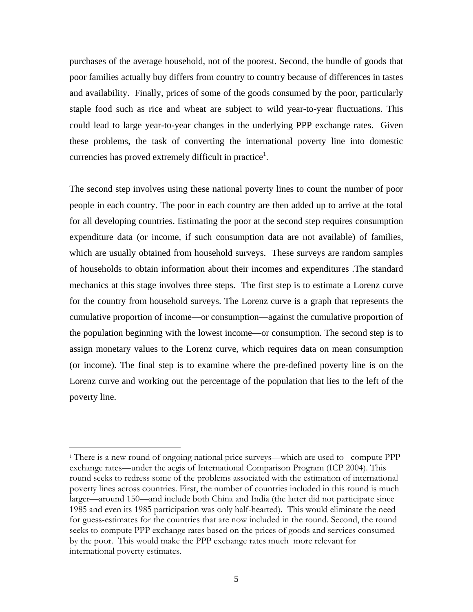purchases of the average household, not of the poorest. Second, the bundle of goods that poor families actually buy differs from country to country because of differences in tastes and availability. Finally, prices of some of the goods consumed by the poor, particularly staple food such as rice and wheat are subject to wild year-to-year fluctuations. This could lead to large year-to-year changes in the underlying PPP exchange rates. Given these problems, the task of converting the international poverty line into domestic currencies has proved extremely difficult in practice<sup>[1](#page-5-0)</sup>.

The second step involves using these national poverty lines to count the number of poor people in each country. The poor in each country are then added up to arrive at the total for all developing countries. Estimating the poor at the second step requires consumption expenditure data (or income, if such consumption data are not available) of families, which are usually obtained from household surveys. These surveys are random samples of households to obtain information about their incomes and expenditures .The standard mechanics at this stage involves three steps. The first step is to estimate a Lorenz curve for the country from household surveys. The Lorenz curve is a graph that represents the cumulative proportion of income—or consumption—against the cumulative proportion of the population beginning with the lowest income—or consumption. The second step is to assign monetary values to the Lorenz curve, which requires data on mean consumption (or income). The final step is to examine where the pre-defined poverty line is on the Lorenz curve and working out the percentage of the population that lies to the left of the poverty line.

 $\overline{a}$ 

<span id="page-5-0"></span><sup>1</sup> There is a new round of ongoing national price surveys—which are used to compute PPP exchange rates—under the aegis of International Comparison Program (ICP 2004). This round seeks to redress some of the problems associated with the estimation of international poverty lines across countries. First, the number of countries included in this round is much larger—around 150—and include both China and India (the latter did not participate since 1985 and even its 1985 participation was only half-hearted). This would eliminate the need for guess-estimates for the countries that are now included in the round. Second, the round seeks to compute PPP exchange rates based on the prices of goods and services consumed by the poor. This would make the PPP exchange rates much more relevant for international poverty estimates.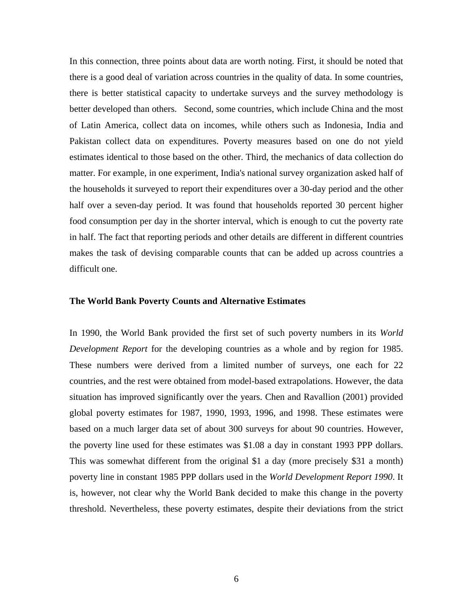In this connection, three points about data are worth noting. First, it should be noted that there is a good deal of variation across countries in the quality of data. In some countries, there is better statistical capacity to undertake surveys and the survey methodology is better developed than others. Second, some countries, which include China and the most of Latin America, collect data on incomes, while others such as Indonesia, India and Pakistan collect data on expenditures. Poverty measures based on one do not yield estimates identical to those based on the other. Third, the mechanics of data collection do matter. For example, in one experiment, India's national survey organization asked half of the households it surveyed to report their expenditures over a 30-day period and the other half over a seven-day period. It was found that households reported 30 percent higher food consumption per day in the shorter interval, which is enough to cut the poverty rate in half. The fact that reporting periods and other details are different in different countries makes the task of devising comparable counts that can be added up across countries a difficult one.

#### **The World Bank Poverty Counts and Alternative Estimates**

In 1990, the World Bank provided the first set of such poverty numbers in its *World Development Report* for the developing countries as a whole and by region for 1985. These numbers were derived from a limited number of surveys, one each for 22 countries, and the rest were obtained from model-based extrapolations. However, the data situation has improved significantly over the years. Chen and Ravallion (2001) provided global poverty estimates for 1987, 1990, 1993, 1996, and 1998. These estimates were based on a much larger data set of about 300 surveys for about 90 countries. However, the poverty line used for these estimates was \$1.08 a day in constant 1993 PPP dollars. This was somewhat different from the original \$1 a day (more precisely \$31 a month) poverty line in constant 1985 PPP dollars used in the *World Development Report 1990*. It is, however, not clear why the World Bank decided to make this change in the poverty threshold. Nevertheless, these poverty estimates, despite their deviations from the strict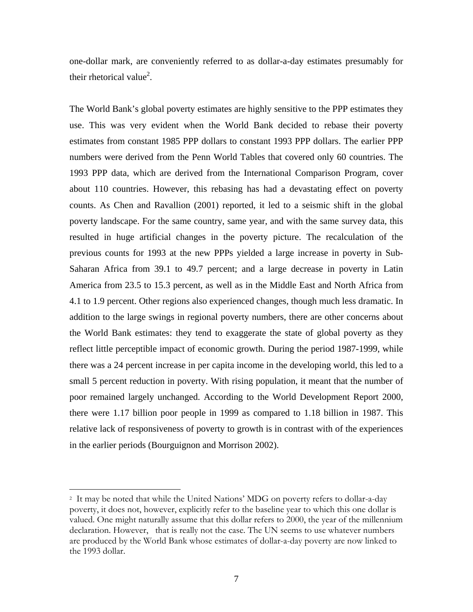one-dollar mark, are conveniently referred to as dollar-a-day estimates presumably for their rhetorical value<sup>2</sup>.

The World Bank's global poverty estimates are highly sensitive to the PPP estimates they use. This was very evident when the World Bank decided to rebase their poverty estimates from constant 1985 PPP dollars to constant 1993 PPP dollars. The earlier PPP numbers were derived from the Penn World Tables that covered only 60 countries. The 1993 PPP data, which are derived from the International Comparison Program, cover about 110 countries. However, this rebasing has had a devastating effect on poverty counts. As Chen and Ravallion (2001) reported, it led to a seismic shift in the global poverty landscape. For the same country, same year, and with the same survey data, this resulted in huge artificial changes in the poverty picture. The recalculation of the previous counts for 1993 at the new PPPs yielded a large increase in poverty in Sub-Saharan Africa from 39.1 to 49.7 percent; and a large decrease in poverty in Latin America from 23.5 to 15.3 percent, as well as in the Middle East and North Africa from 4.1 to 1.9 percent. Other regions also experienced changes, though much less dramatic. In addition to the large swings in regional poverty numbers, there are other concerns about the World Bank estimates: they tend to exaggerate the state of global poverty as they reflect little perceptible impact of economic growth. During the period 1987-1999, while there was a 24 percent increase in per capita income in the developing world, this led to a small 5 percent reduction in poverty. With rising population, it meant that the number of poor remained largely unchanged. According to the World Development Report 2000, there were 1.17 billion poor people in 1999 as compared to 1.18 billion in 1987. This relative lack of responsiveness of poverty to growth is in contrast with of the experiences in the earlier periods (Bourguignon and Morrison 2002).

 $\overline{a}$ 

<span id="page-7-0"></span><sup>2</sup> It may be noted that while the United Nations' MDG on poverty refers to dollar-a-day poverty, it does not, however, explicitly refer to the baseline year to which this one dollar is valued. One might naturally assume that this dollar refers to 2000, the year of the millennium declaration. However, that is really not the case. The UN seems to use whatever numbers are produced by the World Bank whose estimates of dollar-a-day poverty are now linked to the 1993 dollar.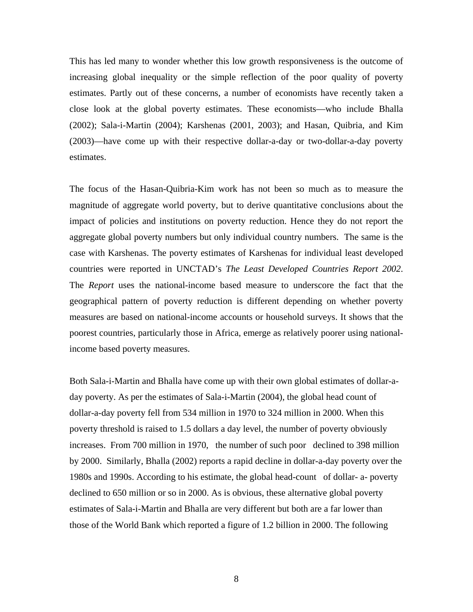This has led many to wonder whether this low growth responsiveness is the outcome of increasing global inequality or the simple reflection of the poor quality of poverty estimates. Partly out of these concerns, a number of economists have recently taken a close look at the global poverty estimates. These economists—who include Bhalla (2002); Sala-i-Martin (2004); Karshenas (2001, 2003); and Hasan, Quibria, and Kim (2003)—have come up with their respective dollar-a-day or two-dollar-a-day poverty estimates.

The focus of the Hasan-Quibria-Kim work has not been so much as to measure the magnitude of aggregate world poverty, but to derive quantitative conclusions about the impact of policies and institutions on poverty reduction. Hence they do not report the aggregate global poverty numbers but only individual country numbers. The same is the case with Karshenas. The poverty estimates of Karshenas for individual least developed countries were reported in UNCTAD's *The Least Developed Countries Report 2002*. The *Report* uses the national-income based measure to underscore the fact that the geographical pattern of poverty reduction is different depending on whether poverty measures are based on national-income accounts or household surveys. It shows that the poorest countries, particularly those in Africa, emerge as relatively poorer using nationalincome based poverty measures.

Both Sala-i-Martin and Bhalla have come up with their own global estimates of dollar-aday poverty. As per the estimates of Sala-i-Martin (2004), the global head count of dollar-a-day poverty fell from 534 million in 1970 to 324 million in 2000. When this poverty threshold is raised to 1.5 dollars a day level, the number of poverty obviously increases. From 700 million in 1970, the number of such poor declined to 398 million by 2000. Similarly, Bhalla (2002) reports a rapid decline in dollar-a-day poverty over the 1980s and 1990s. According to his estimate, the global head-count of dollar- a- poverty declined to 650 million or so in 2000. As is obvious, these alternative global poverty estimates of Sala-i-Martin and Bhalla are very different but both are a far lower than those of the World Bank which reported a figure of 1.2 billion in 2000. The following

8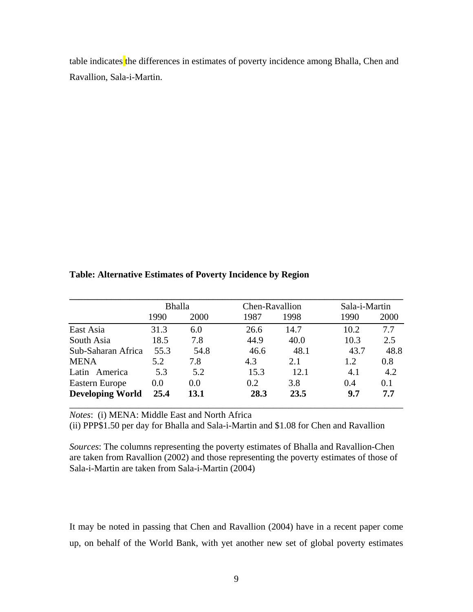table indicates the differences in estimates of poverty incidence among Bhalla, Chen and Ravallion, Sala-i-Martin.

#### **Table: Alternative Estimates of Poverty Incidence by Region**

|                         | <b>Bhalla</b> |      | Chen-Ravallion |      | Sala-i-Martin |      |
|-------------------------|---------------|------|----------------|------|---------------|------|
|                         | 1990          | 2000 | 1987           | 1998 | 1990          | 2000 |
| East Asia               | 31.3          | 6.0  | 26.6           | 14.7 | 10.2          | 7.7  |
| South Asia              | 18.5          | 7.8  | 44.9           | 40.0 | 10.3          | 2.5  |
| Sub-Saharan Africa      | 55.3          | 54.8 | 46.6           | 48.1 | 43.7          | 48.8 |
| <b>MENA</b>             | 5.2           | 7.8  | 4.3            | 2.1  | 1.2           | 0.8  |
| Latin America           | 5.3           | 5.2  | 15.3           | 12.1 | 4.1           | 4.2  |
| Eastern Europe          | 0.0           | 0.0  | 0.2            | 3.8  | 0.4           | 0.1  |
| <b>Developing World</b> | 25.4          | 13.1 | 28.3           | 23.5 | 9.7           | 7.7  |

*Notes*: (i) MENA: Middle East and North Africa

(ii) PPP\$1.50 per day for Bhalla and Sala-i-Martin and \$1.08 for Chen and Ravallion

*Sources*: The columns representing the poverty estimates of Bhalla and Ravallion-Chen are taken from Ravallion (2002) and those representing the poverty estimates of those of Sala-i-Martin are taken from Sala-i-Martin (2004)

It may be noted in passing that Chen and Ravallion (2004) have in a recent paper come up, on behalf of the World Bank, with yet another new set of global poverty estimates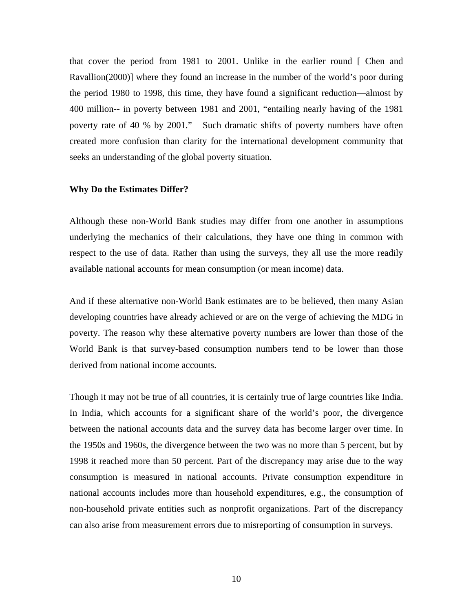that cover the period from 1981 to 2001. Unlike in the earlier round [ Chen and Ravallion(2000)] where they found an increase in the number of the world's poor during the period 1980 to 1998, this time, they have found a significant reduction—almost by 400 million-- in poverty between 1981 and 2001, "entailing nearly having of the 1981 poverty rate of 40 % by 2001." Such dramatic shifts of poverty numbers have often created more confusion than clarity for the international development community that seeks an understanding of the global poverty situation.

#### **Why Do the Estimates Differ?**

Although these non-World Bank studies may differ from one another in assumptions underlying the mechanics of their calculations, they have one thing in common with respect to the use of data. Rather than using the surveys, they all use the more readily available national accounts for mean consumption (or mean income) data.

And if these alternative non-World Bank estimates are to be believed, then many Asian developing countries have already achieved or are on the verge of achieving the MDG in poverty. The reason why these alternative poverty numbers are lower than those of the World Bank is that survey-based consumption numbers tend to be lower than those derived from national income accounts.

Though it may not be true of all countries, it is certainly true of large countries like India. In India, which accounts for a significant share of the world's poor, the divergence between the national accounts data and the survey data has become larger over time. In the 1950s and 1960s, the divergence between the two was no more than 5 percent, but by 1998 it reached more than 50 percent. Part of the discrepancy may arise due to the way consumption is measured in national accounts. Private consumption expenditure in national accounts includes more than household expenditures, e.g., the consumption of non-household private entities such as nonprofit organizations. Part of the discrepancy can also arise from measurement errors due to misreporting of consumption in surveys.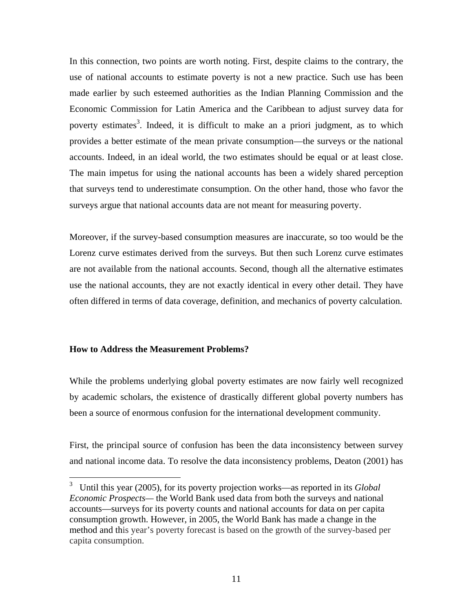In this connection, two points are worth noting. First, despite claims to the contrary, the use of national accounts to estimate poverty is not a new practice. Such use has been made earlier by such esteemed authorities as the Indian Planning Commission and the Economic Commission for Latin America and the Caribbean to adjust survey data for poverty estimates<sup>[3](#page-11-0)</sup>. Indeed, it is difficult to make an a priori judgment, as to which provides a better estimate of the mean private consumption—the surveys or the national accounts. Indeed, in an ideal world, the two estimates should be equal or at least close. The main impetus for using the national accounts has been a widely shared perception that surveys tend to underestimate consumption. On the other hand, those who favor the surveys argue that national accounts data are not meant for measuring poverty.

Moreover, if the survey-based consumption measures are inaccurate, so too would be the Lorenz curve estimates derived from the surveys. But then such Lorenz curve estimates are not available from the national accounts. Second, though all the alternative estimates use the national accounts, they are not exactly identical in every other detail. They have often differed in terms of data coverage, definition, and mechanics of poverty calculation.

#### **How to Address the Measurement Problems?**

While the problems underlying global poverty estimates are now fairly well recognized by academic scholars, the existence of drastically different global poverty numbers has been a source of enormous confusion for the international development community.

First, the principal source of confusion has been the data inconsistency between survey and national income data. To resolve the data inconsistency problems, Deaton (2001) has

<span id="page-11-0"></span> 3 Until this year (2005), for its poverty projection works—as reported in its *Global Economic Prospects—* the World Bank used data from both the surveys and national accounts—surveys for its poverty counts and national accounts for data on per capita consumption growth. However, in 2005, the World Bank has made a change in the method and this year's poverty forecast is based on the growth of the survey-based per capita consumption.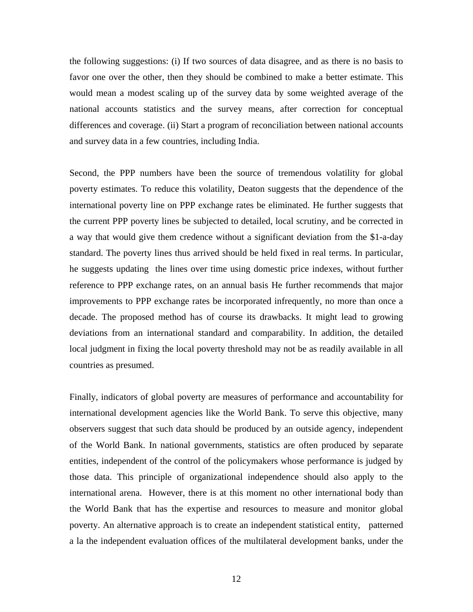the following suggestions: (i) If two sources of data disagree, and as there is no basis to favor one over the other, then they should be combined to make a better estimate. This would mean a modest scaling up of the survey data by some weighted average of the national accounts statistics and the survey means, after correction for conceptual differences and coverage. (ii) Start a program of reconciliation between national accounts and survey data in a few countries, including India.

Second, the PPP numbers have been the source of tremendous volatility for global poverty estimates. To reduce this volatility, Deaton suggests that the dependence of the international poverty line on PPP exchange rates be eliminated. He further suggests that the current PPP poverty lines be subjected to detailed, local scrutiny, and be corrected in a way that would give them credence without a significant deviation from the \$1-a-day standard. The poverty lines thus arrived should be held fixed in real terms. In particular, he suggests updating the lines over time using domestic price indexes, without further reference to PPP exchange rates, on an annual basis He further recommends that major improvements to PPP exchange rates be incorporated infrequently, no more than once a decade. The proposed method has of course its drawbacks. It might lead to growing deviations from an international standard and comparability. In addition, the detailed local judgment in fixing the local poverty threshold may not be as readily available in all countries as presumed.

Finally, indicators of global poverty are measures of performance and accountability for international development agencies like the World Bank. To serve this objective, many observers suggest that such data should be produced by an outside agency, independent of the World Bank. In national governments, statistics are often produced by separate entities, independent of the control of the policymakers whose performance is judged by those data. This principle of organizational independence should also apply to the international arena. However, there is at this moment no other international body than the World Bank that has the expertise and resources to measure and monitor global poverty. An alternative approach is to create an independent statistical entity, patterned a la the independent evaluation offices of the multilateral development banks, under the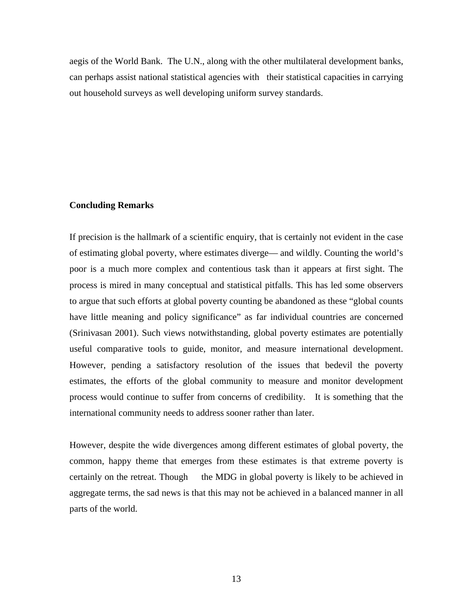aegis of the World Bank. The U.N., along with the other multilateral development banks, can perhaps assist national statistical agencies with their statistical capacities in carrying out household surveys as well developing uniform survey standards.

#### **Concluding Remarks**

If precision is the hallmark of a scientific enquiry, that is certainly not evident in the case of estimating global poverty, where estimates diverge— and wildly. Counting the world's poor is a much more complex and contentious task than it appears at first sight. The process is mired in many conceptual and statistical pitfalls. This has led some observers to argue that such efforts at global poverty counting be abandoned as these "global counts have little meaning and policy significance" as far individual countries are concerned (Srinivasan 2001). Such views notwithstanding, global poverty estimates are potentially useful comparative tools to guide, monitor, and measure international development. However, pending a satisfactory resolution of the issues that bedevil the poverty estimates, the efforts of the global community to measure and monitor development process would continue to suffer from concerns of credibility. It is something that the international community needs to address sooner rather than later.

However, despite the wide divergences among different estimates of global poverty, the common, happy theme that emerges from these estimates is that extreme poverty is certainly on the retreat. Though the MDG in global poverty is likely to be achieved in aggregate terms, the sad news is that this may not be achieved in a balanced manner in all parts of the world.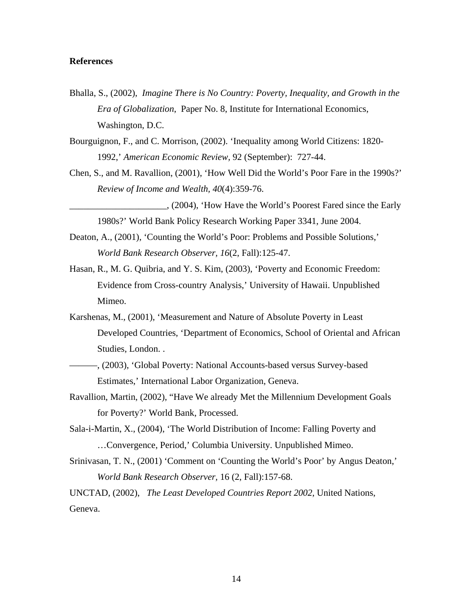#### **References**

- Bhalla, S., (2002), *Imagine There is No Country: Poverty, Inequality, and Growth in the Era of Globalization*, Paper No. 8, Institute for International Economics, Washington, D.C.
- Bourguignon, F., and C. Morrison, (2002). 'Inequality among World Citizens: 1820- 1992,' *American Economic Review,* 92 (September): 727-44.
- Chen, S., and M. Ravallion, (2001), 'How Well Did the World's Poor Fare in the 1990s?' *Review of Income and Wealth, 40*(4):359-76.
- \_\_\_\_\_\_\_\_\_\_\_\_\_\_\_\_\_\_\_\_\_, (2004), 'How Have the World's Poorest Fared since the Early 1980s?' World Bank Policy Research Working Paper 3341, June 2004.
- Deaton, A., (2001), 'Counting the World's Poor: Problems and Possible Solutions,' *World Bank Research Observer, 16*(2, Fall):125-47.
- Hasan, R., M. G. Quibria, and Y. S. Kim, (2003), 'Poverty and Economic Freedom: Evidence from Cross-country Analysis,' University of Hawaii. Unpublished Mimeo.
- Karshenas, M., (2001), 'Measurement and Nature of Absolute Poverty in Least Developed Countries, 'Department of Economics, School of Oriental and African Studies, London. .
- ———, (2003), 'Global Poverty: National Accounts-based versus Survey-based Estimates,' International Labor Organization, Geneva.
- Ravallion, Martin, (2002), "Have We already Met the Millennium Development Goals for Poverty?' World Bank, Processed.
- Sala-i-Martin, X., (2004), 'The World Distribution of Income: Falling Poverty and …Convergence, Period,' Columbia University. Unpublished Mimeo.
- Srinivasan, T. N., (2001) 'Comment on 'Counting the World's Poor' by Angus Deaton,' *World Bank Research Observer,* 16 (2, Fall):157-68.

UNCTAD, (2002), *The Least Developed Countries Report 2002*, United Nations, Geneva.